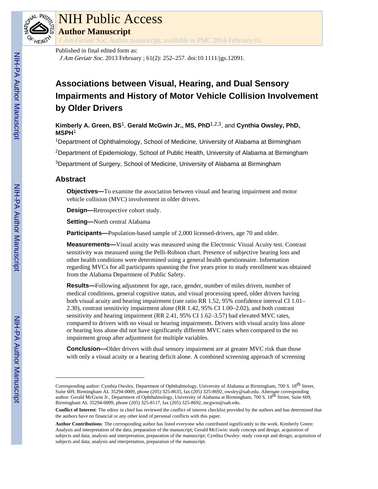

### NIH Public Access

**Author Manuscript**

J Am Geriatr Soc. Author manuscript; available in PMC 2014 February 01.

Published in final edited form as:

J Am Geriatr Soc. 2013 February ; 61(2): 252–257. doi:10.1111/jgs.12091.

### **Associations between Visual, Hearing, and Dual Sensory Impairments and History of Motor Vehicle Collision Involvement by Older Drivers**

**Kimberly A. Green, BS**1, **Gerald McGwin Jr., MS, PhD**1,2,3, and **Cynthia Owsley, PhD, MSPH**<sup>1</sup>

<sup>1</sup>Department of Ophthalmology, School of Medicine, University of Alabama at Birmingham

<sup>2</sup>Department of Epidemiology, School of Public Health, University of Alabama at Birmingham

<sup>3</sup>Department of Surgery, School of Medicine, University of Alabama at Birmingham

#### **Abstract**

**Objectives—** To examine the association between visual and hearing impairment and motor vehicle collision (MVC) involvement in older drivers.

**Design—**Retrospective cohort study.

**Setting—**North central Alabama

**Participants—**Population-based sample of 2,000 licensed-drivers, age 70 and older.

**Measurements—**Visual acuity was measured using the Electronic Visual Acuity test. Contrast sensitivity was measured using the Pelli-Robson chart. Presence of subjective hearing loss and other health conditions were determined using a general health questionnaire. Information regarding MVCs for all participants spanning the five years prior to study enrollment was obtained from the Alabama Department of Public Safety.

**Results—**Following adjustment for age, race, gender, number of miles driven, number of medical conditions, general cognitive status, and visual processing speed, older drivers having both visual acuity and hearing impairment (rate ratio RR 1.52, 95% confidence interval CI 1.01– 2.30), contrast sensitivity impairment alone (RR 1.42, 95% CI 1.00–2.02), and both contrast sensitivity and hearing impairment (RR 2.41, 95% CI 1.62–3.57) had elevated MVC rates, compared to drivers with no visual or hearing impairments. Drivers with visual acuity loss alone or hearing loss alone did not have significantly different MVC rates when compared to the no impairment group after adjustment for multiple variables.

**Conclusion—**Older drivers with dual sensory impairment are at greater MVC risk than those with only a visual acuity or a hearing deficit alone. A combined screening approach of screening

Corresponding author: Cynthia Owsley, Department of Ophthalmology, University of Alabama at Birmingham, 700 S. 18<sup>th</sup> Street, Suite 609, Birmingham AL 35294-0009, phone (205) 325-8635, fax (205) 325-8692, owsley@uab.edu. Alternate corresponding author: Gerald McGwin Jr., Department of Ophthalmology, University of Alabama at Birmingham, 700 S. 18<sup>th</sup> Street, Suite 609, Birmingham AL 35294-0009, phone (205) 325-8117, fax (205) 325-8692, mcgwin@uab.edu.

**Conflict of Interest**: The editor in chief has reviewed the conflict of interest checklist provided by the authors and has determined that the authors have no financial or any other kind of personal conflicts with this paper.

**Author Contributions**: The corresponding author has listed everyone who contributed significantly to the work. Kimberly Green: Analysis and interpretation of the data, preparation of the manuscript; Gerald McGwin: study concept and design; acquisition of subjects and data; analysis and interpretation, preparation of the manuscript; Cynthia Owsley: study concept and design; acquisition of subjects and data; analysis and interpretation, preparation of the manuscript.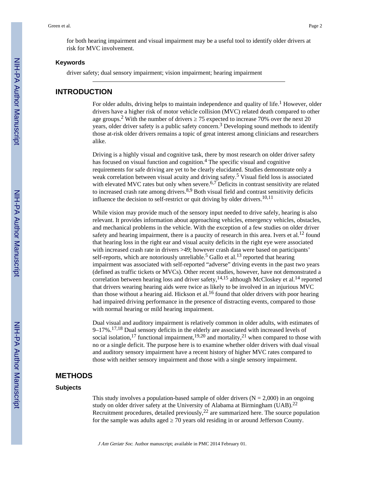for both hearing impairment and visual impairment may be a useful tool to identify older drivers at risk for MVC involvement.

#### **Keywords**

driver safety; dual sensory impairment; vision impairment; hearing impairment

#### **INTRODUCTION**

For older adults, driving helps to maintain independence and quality of life.<sup>1</sup> However, older drivers have a higher risk of motor vehicle collision (MVC) related death compared to other age groups.<sup>2</sup> With the number of drivers  $\frac{75}{2}$  expected to increase 70% over the next 20 years, older driver safety is a public safety concern.<sup>3</sup> Developing sound methods to identify those at-risk older drivers remains a topic of great interest among clinicians and researchers alike.

Driving is a highly visual and cognitive task, there by most research on older driver safety has focused on visual function and cognition.<sup>4</sup> The specific visual and cognitive requirements for safe driving are yet to be clearly elucidated. Studies demonstrate only a weak correlation between visual acuity and driving safety.<sup>5</sup> Visual field loss is associated with elevated MVC rates but only when severe. $6.7$  Deficits in contrast sensitivity are related to increased crash rate among drivers. $8,9$  Both visual field and contrast sensitivity deficits influence the decision to self-restrict or quit driving by older drivers.<sup>10,11</sup>

While vision may provide much of the sensory input needed to drive safely, hearing is also relevant. It provides information about approaching vehicles, emergency vehicles, obstacles, and mechanical problems in the vehicle. With the exception of a few studies on older driver safety and hearing impairment, there is a paucity of research in this area. Ivers et al.<sup>12</sup> found that hearing loss in the right ear and visual acuity deficits in the right eye were associated with increased crash rate in drivers >49; however crash data were based on participants' self-reports, which are notoriously unreliable.<sup>5</sup> Gallo et al.<sup>13</sup> reported that hearing impairment was associated with self-reported "adverse" driving events in the past two years (defined as traffic tickets or MVCs). Other recent studies, however, have not demonstrated a correlation between hearing loss and driver safety,  $14,15$  although McCloskey et al.  $14$  reported that drivers wearing hearing aids were twice as likely to be involved in an injurious MVC than those without a hearing aid. Hickson et al.<sup>16</sup> found that older drivers with poor hearing had impaired driving performance in the presence of distracting events, compared to those with normal hearing or mild hearing impairment.

Dual visual and auditory impairment is relatively common in older adults, with estimates of 9–17%.17,18 Dual sensory deficits in the elderly are associated with increased levels of social isolation,<sup>17</sup> functional impairment,<sup>19,20</sup> and mortality,<sup>21</sup> when compared to those with no or a single deficit. The purpose here is to examine whether older drivers with dual visual and auditory sensory impairment have a recent history of higher MVC rates compared to those with neither sensory impairment and those with a single sensory impairment.

#### **METHODS**

#### **Subjects**

This study involves a population-based sample of older drivers  $(N = 2,000)$  in an ongoing study on older driver safety at the University of Alabama at Birmingham (UAB).<sup>22</sup> Recruitment procedures, detailed previously,  $2<sup>2</sup>$  are summarized here. The source population for the sample was adults aged  $\overline{20}$  years old residing in or around Jefferson County.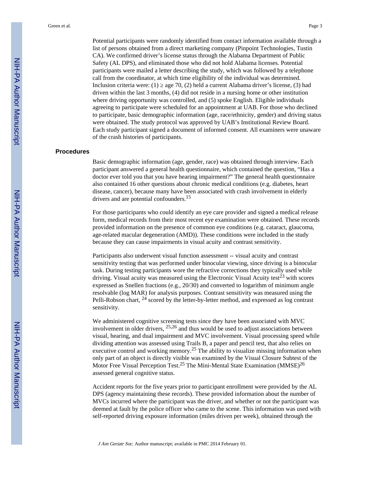Potential participants were randomly identified from contact information available through a list of persons obtained from a direct marketing company (Pinpoint Technologies, Tustin CA). We confirmed driver's license status through the Alabama Department of Public Safety (AL DPS), and eliminated those who did not hold Alabama licenses. Potential participants were mailed a letter describing the study, which was followed by a telephone call from the coordinator, at which time eligibility of the individual was determined. Inclusion criteria were: (1)  $\alpha$  age 70, (2) held a current Alabama driver's license, (3) had driven within the last 3 months, (4) did not reside in a nursing home or other institution where driving opportunity was controlled, and  $(5)$  spoke English. Eligible individuals agreeing to participate were scheduled for an appointment at UAB. For those who declined to participate, basic demographic information (age, race/ethnicity, gender) and driving status were obtained. The study protocol was approved by UAB's Institutional Review Board. Each study participant signed a document of informed consent. All examiners were unaware of the crash histories of participants.

#### **Procedures**

Basic demographic information (age, gender, race) was obtained through interview. Each participant answered a general health questionnaire, which contained the question, "Has a doctor ever told you that you have hearing impairment?" The general health questionnaire also contained 16 other questions about chronic medical conditions (e.g. diabetes, heart disease, cancer), because many have been associated with crash involvement in elderly drivers and are potential confounders.<sup>15</sup>

For those participants who could identify an eye care provider and signed a medical release form, medical records from their most recent eye examination were obtained. These records provided information on the presence of common eye conditions (e.g. cataract, glaucoma, age-related macular degeneration (AMD)). These conditions were included in the study because they can cause impairments in visual acuity and contrast sensitivity.

Participants also underwent visual function assessment -- visual acuity and contrast sensitivity testing that was performed under binocular viewing, since driving is a binocular task. During testing participants wore the refractive corrections they typically used while driving. Visual acuity was measured using the Electronic Visual Acuity test<sup>23</sup> with scores expressed as Snellen fractions (e.g., 20/30) and converted to logarithm of minimum angle resolvable (log MAR) for analysis purposes. Contrast sensitivity was measured using the Pelli-Robson chart,  $^{24}$  scored by the letter-by-letter method, and expressed as log contrast sensitivity.

We administered cognitive screening tests since they have been associated with MVC involvement in older drivers,  $25,26$  and thus would be used to adjust associations between visual, hearing, and dual impairment and MVC involvement. Visual processing speed while dividing attention was assessed using Trails B, a paper and pencil test, that also relies on executive control and working memory.<sup>25</sup> The ability to visualize missing information when only part of an object is directly visible was examined by the Visual Closure Subtest of the Motor Free Visual Perception Test.<sup>25</sup> The Mini-Mental State Examination (MMSE)<sup>26</sup> assessed general cognitive status.

Accident reports for the five years prior to participant enrollment were provided by the AL DPS (agency maintaining these records). These provided information about the number of MVCs incurred where the participant was the driver, and whether or not the participant was deemed at fault by the police officer who came to the scene. This information was used with self-reported driving exposure information (miles driven per week), obtained through the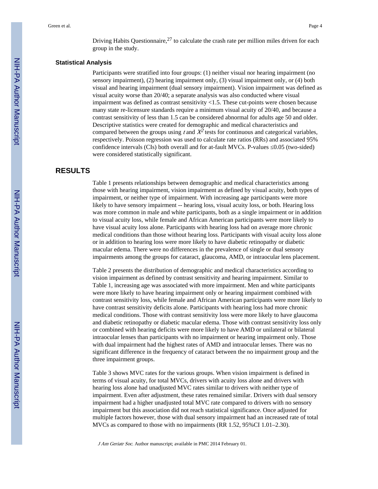Driving Habits Questionnaire,  $2<sup>7</sup>$  to calculate the crash rate per million miles driven for each group in the study.

#### **Statistical Analysis**

Participants were stratified into four groups: (1) neither visual nor hearing impairment (no sensory impairment), (2) hearing impairment only, (3) visual impairment only, or (4) both visual and hearing impairment (dual sensory impairment). Vision impairment was defined as visual acuity worse than 20/40; a separate analysis was also conducted where visual impairment was defined as contrast sensitivity <1.5. These cut-points were chosen because many state re-licensure standards require a minimum visual acuity of 20/40, and because a contrast sensitivity of less than 1.5 can be considered abnormal for adults age 50 and older. Descriptive statistics were created for demographic and medical characteristics and compared between the groups using t and  $X^2$  tests for continuous and categorical variables, respectively. Poisson regression was used to calculate rate ratios (RRs) and associated 95% confidence intervals (CIs) both overall and for at-fault MVCs. P-values  $0.05$  (two-sided) were considered statistically significant.

#### **RESULTS**

Table 1 presents relationships between demographic and medical characteristics among those with hearing impairment, vision impairment as defined by visual acuity, both types of impairment, or neither type of impairment. With increasing age participants were more likely to have sensory impairment -- hearing loss, visual acuity loss, or both. Hearing loss was more common in male and white participants, both as a single impairment or in addition to visual acuity loss, while female and African American participants were more likely to have visual acuity loss alone. Participants with hearing loss had on average more chronic medical conditions than those without hearing loss. Participants with visual acuity loss alone or in addition to hearing loss were more likely to have diabetic retinopathy or diabetic macular edema. There were no differences in the prevalence of single or dual sensory impairments among the groups for cataract, glaucoma, AMD, or intraocular lens placement.

Table 2 presents the distribution of demographic and medical characteristics according to vision impairment as defined by contrast sensitivity and hearing impairment. Similar to Table 1, increasing age was associated with more impairment. Men and white participants were more likely to have hearing impairment only or hearing impairment combined with contrast sensitivity loss, while female and African American participants were more likely to have contrast sensitivity deficits alone. Participants with hearing loss had more chronic medical conditions. Those with contrast sensitivity loss were more likely to have glaucoma and diabetic retinopathy or diabetic macular edema. Those with contrast sensitivity loss only or combined with hearing deficits were more likely to have AMD or unilateral or bilateral intraocular lenses than participants with no impairment or hearing impairment only. Those with dual impairment had the highest rates of AMD and intraocular lenses. There was no significant difference in the frequency of cataract between the no impairment group and the three impairment groups.

Table 3 shows MVC rates for the various groups. When vision impairment is defined in terms of visual acuity, for total MVCs, drivers with acuity loss alone and drivers with hearing loss alone had unadjusted MVC rates similar to drivers with neither type of impairment. Even after adjustment, these rates remained similar. Drivers with dual sensory impairment had a higher unadjusted total MVC rate compared to drivers with no sensory impairment but this association did not reach statistical significance. Once adjusted for multiple factors however, those with dual sensory impairment had an increased rate of total MVCs as compared to those with no impairments (RR 1.52, 95%CI 1.01–2.30).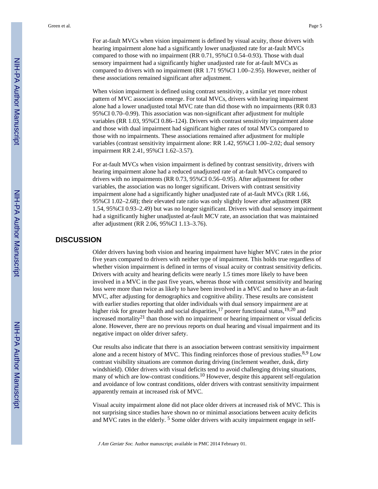For at-fault MVCs when vision impairment is defined by visual acuity, those drivers with hearing impairment alone had a significantly lower unadjusted rate for at-fault MVCs compared to those with no impairment (RR 0.71, 95%CI 0.54–0.93). Those with dual sensory impairment had a significantly higher unadjusted rate for at-fault MVCs as compared to drivers with no impairment (RR 1.71 95%CI 1.00–2.95). However, neither of these associations remained significant after adjustment.

When vision impairment is defined using contrast sensitivity, a similar yet more robust pattern of MVC associations emerge. For total MVCs, drivers with hearing impairment alone had a lower unadjusted total MVC rate than did those with no impairments (RR 0.83 95%CI 0.70–0.99). This association was non-significant after adjustment for multiple variables (RR 1.03, 95%CI 0.86–124). Drivers with contrast sensitivity impairment alone and those with dual impairment had significant higher rates of total MVCs compared to those with no impairments. These associations remained after adjustment for multiple variables (contrast sensitivity impairment alone: RR 1.42, 95%CI 1.00–2.02; dual sensory impairment RR 2.41, 95%CI 1.62–3.57).

For at-fault MVCs when vision impairment is defined by contrast sensitivity, drivers with hearing impairment alone had a reduced unadjusted rate of at-fault MVCs compared to drivers with no impairments (RR 0.73, 95%CI 0.56–0.95). After adjustment for other variables, the association was no longer significant. Drivers with contrast sensitivity impairment alone had a significantly higher unadjusted rate of at-fault MVCs (RR 1.66, 95%CI 1.02–2.68); their elevated rate ratio was only slightly lower after adjustment (RR 1.54, 95%CI 0.93–2.49) but was no longer significant. Drivers with dual sensory impairment had a significantly higher unadjusted at-fault MCV rate, an association that was maintained after adjustment (RR 2.06, 95%CI 1.13–3.76).

#### **DISCUSSION**

Older drivers having both vision and hearing impairment have higher MVC rates in the prior five years compared to drivers with neither type of impairment. This holds true regardless of whether vision impairment is defined in terms of visual acuity or contrast sensitivity deficits. Drivers with acuity and hearing deficits were nearly 1.5 times more likely to have been involved in a MVC in the past five years, whereas those with contrast sensitivity and hearing loss were more than twice as likely to have been involved in a MVC and to have an at-fault MVC, after adjusting for demographics and cognitive ability. These results are consistent with earlier studies reporting that older individuals with dual sensory impairment are at higher risk for greater health and social disparities,<sup>17</sup> poorer functional status,<sup>19,20</sup> and increased mortality<sup>21</sup> than those with no impairment or hearing impairment or visual deficits alone. However, there are no previous reports on dual hearing and visual impairment and its negative impact on older driver safety.

Our results also indicate that there is an association between contrast sensitivity impairment alone and a recent history of MVC. This finding reinforces those of previous studies.<sup>8,9</sup> Low contrast visibility situations are common during driving (inclement weather, dusk, dirty windshield). Older drivers with visual deficits tend to avoid challenging driving situations, many of which are low-contrast conditions.<sup>10</sup> However, despite this apparent self-regulation and avoidance of low contrast conditions, older drivers with contrast sensitivity impairment apparently remain at increased risk of MVC.

Visual acuity impairment alone did not place older drivers at increased risk of MVC. This is not surprising since studies have shown no or minimal associations between acuity deficits and MVC rates in the elderly. <sup>5</sup> Some older drivers with acuity impairment engage in self-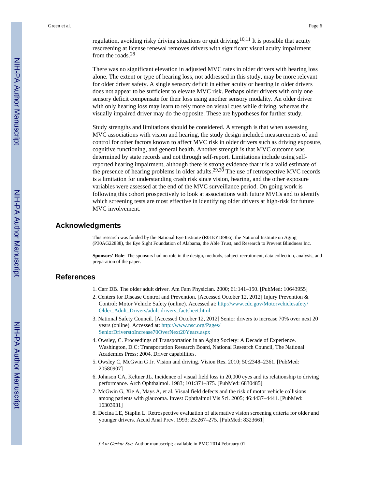regulation, avoiding risky driving situations or quit driving.<sup>10,11</sup> It is possible that acuity rescreening at license renewal removes drivers with significant visual acuity impairment from the roads.<sup>28</sup>

There was no significant elevation in adjusted MVC rates in older drivers with hearing loss alone. The extent or type of hearing loss, not addressed in this study, may be more relevant for older driver safety. A single sensory deficit in either acuity or hearing in older drivers does not appear to be sufficient to elevate MVC risk. Perhaps older drivers with only one sensory deficit compensate for their loss using another sensory modality. An older driver with only hearing loss may learn to rely more on visual cues while driving, whereas the visually impaired driver may do the opposite. These are hypotheses for further study.

Study strengths and limitations should be considered. A strength is that when assessing MVC associations with vision and hearing, the study design included measurements of and control for other factors known to affect MVC risk in older drivers such as driving exposure, cognitive functioning, and general health. Another strength is that MVC outcome was determined by state records and not through self-report. Limitations include using selfreported hearing impairment, although there is strong evidence that it is a valid estimate of the presence of hearing problems in older adults.29,30 The use of retrospective MVC records is a limitation for understanding crash risk since vision, hearing, and the other exposure variables were assessed at the end of the MVC surveillance period. On going work is following this cohort prospectively to look at associations with future MVCs and to identify which screening tests are most effective in identifying older drivers at high-risk for future MVC involvement.

#### **Acknowledgments**

This research was funded by the National Eye Institute (R01EY18966), the National Institute on Aging (P30AG22838), the Eye Sight Foundation of Alabama, the Able Trust, and Research to Prevent Blindness Inc.

**Sponsors' Role**: The sponsors had no role in the design, methods, subject recruitment, data collection, analysis, and preparation of the paper.

#### **References**

- 1. Carr DB. The older adult driver. Am Fam Physician. 2000; 61:141–150. [PubMed: 10643955]
- 2. Centers for Disease Control and Prevention. [Accessed October 12, 2012] Injury Prevention & Control: Motor Vehicle Safety (online). Accessed at: [http://www.cdc.gov/Motorvehiclesafety/](http://www.cdc.gov/Motorvehiclesafety/Older_Adult_Drivers/adult-drivers_factsheet.html) [Older\\_Adult\\_Drivers/adult-drivers\\_factsheet.html](http://www.cdc.gov/Motorvehiclesafety/Older_Adult_Drivers/adult-drivers_factsheet.html)
- 3. National Safety Council. [Accessed October 12, 2012] Senior drivers to increase 70% over next 20 years (online). Accessed at: [http://www.nsc.org/Pages/](http://www.nsc.org/Pages/SeniorDriverstoIncrease70OverNext20Years.aspx) [SeniorDriverstoIncrease70OverNext20Years.aspx](http://www.nsc.org/Pages/SeniorDriverstoIncrease70OverNext20Years.aspx)
- 4. Owsley, C. Proceedings of Transportation in an Aging Society: A Decade of Experience. Washington, D.C: Transportation Research Board, National Research Council, The National Academies Press; 2004. Driver capabilities.
- 5. Owsley C, McGwin G Jr. Vision and driving. Vision Res. 2010; 50:2348–2361. [PubMed: 20580907]
- 6. Johnson CA, Keltner JL. Incidence of visual field loss in 20,000 eyes and its relationship to driving performance. Arch Ophthalmol. 1983; 101:371–375. [PubMed: 6830485]
- 7. McGwin G, Xie A, Mays A, et al. Visual field defects and the risk of motor vehicle collisions among patients with glaucoma. Invest Ophthalmol Vis Sci. 2005; 46:4437–4441. [PubMed: 16303931]
- 8. Decina LE, Staplin L. Retrospective evaluation of alternative vision screening criteria for older and younger drivers. Accid Anal Prev. 1993; 25:267–275. [PubMed: 8323661]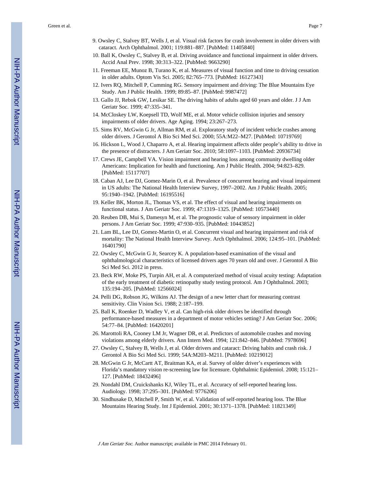Green et al. Page 7

- 9. Owsley C, Stalvey BT, Wells J, et al. Visual risk factors for crash involvement in older drivers with cataract. Arch Ophthalmol. 2001; 119:881–887. [PubMed: 11405840]
- 10. Ball K, Owsley C, Stalvey B, et al. Driving avoidance and functional impairment in older drivers. Accid Anal Prev. 1998; 30:313–322. [PubMed: 9663290]
- 11. Freeman EE, Munoz B, Turano K, et al. Measures of visual function and time to driving cessation in older adults. Optom Vis Sci. 2005; 82:765–773. [PubMed: 16127343]
- 12. Ivers RQ, Mitchell P, Cumming RG. Sensory impairment and driving: The Blue Mountains Eye Study. Am J Public Health. 1999; 89:85–87. [PubMed: 9987472]
- 13. Gallo JJ, Rebok GW, Lesikar SE. The driving habits of adults aged 60 years and older. J J Am Geriatr Soc. 1999; 47:335–341.
- 14. McCloskey LW, Koepsell TD, Wolf ME, et al. Motor vehicle collision injuries and sensory impairments of older drivers. Age Aging. 1994; 23:267–273.
- 15. Sims RV, McGwin G Jr, Allman RM, et al. Exploratory study of incident vehicle crashes among older drivers. J Gerontol A Bio Sci Med Sci. 2000; 55A:M22–M27. [PubMed: 10719769]
- 16. Hickson L, Wood J, Chaparro A, et al. Hearing impairment affects older people's ability to drive in the presence of distracters. J Am Geriatr Soc. 2010; 58:1097–1103. [PubMed: 20936734]
- 17. Crews JE, Campbell VA. Vision impairment and hearing loss among community dwelling older Americans: Implication for health and functioning. Am J Public Health. 2004; 94:823–829. [PubMed: 15117707]
- 18. Caban AJ, Lee DJ, Gomez-Marin O, et al. Prevalence of concurrent hearing and visual impairment in US adults: The National Health Interview Survey, 1997–2002. Am J Public Health. 2005; 95:1940–1942. [PubMed: 16195516]
- 19. Keller BK, Morton JL, Thomas VS, et al. The effect of visual and hearing impairments on functional status. J Am Geriatr Soc. 1999; 47:1319–1325. [PubMed: 10573440]
- 20. Reuben DB, Mui S, Damesyn M, et al. The prognostic value of sensory impairment in older persons. J Am Geriatr Soc. 1999; 47:930–935. [PubMed: 10443852]
- 21. Lam BL, Lee DJ, Gomez-Martin O, et al. Concurrent visual and hearing impairment and risk of mortality: The National Health Interview Survey. Arch Ophthalmol. 2006; 124:95–101. [PubMed: 16401790]
- 22. Owsley C, McGwin G Jr, Searcey K. A population-based examination of the visual and ophthalmological characteristics of licensed drivers ages 70 years old and over. J Gerontol A Bio Sci Med Sci. 2012 in press.
- 23. Beck RW, Moke PS, Turpin AH, et al. A computerized method of visual acuity testing: Adaptation of the early treatment of diabetic retinopathy study testing protocol. Am J Ophthalmol. 2003; 135:194–205. [PubMed: 12566024]
- 24. Pelli DG, Robson JG, Wilkins AJ. The design of a new letter chart for measuring contrast sensitivity. Clin Vision Sci. 1988; 2:187–199.
- 25. Ball K, Roenker D, Wadley V, et al. Can high-risk older drivers be identified through performance-based measures in a department of motor vehicles setting? J Am Geriatr Soc. 2006; 54:77–84. [PubMed: 16420201]
- 26. Marottoli RA, Cooney LM Jr, Wagner DR, et al. Predictors of automobile crashes and moving violations among elderly drivers. Ann Intern Med. 1994; 121:842–846. [PubMed: 7978696]
- 27. Owsley C, Stalvey B, Wells J, et al. Older drivers and cataract: Driving habits and crash risk. J Gerontol A Bio Sci Med Sci. 1999; 54A:M203–M211. [PubMed: 10219012]
- 28. McGwin G Jr, McCartt AT, Braitman KA, et al. Survey of older driver's experiences with Florida's mandatory vision re-screening law for licensure. Ophthalmic Epidemiol. 2008; 15:121– 127. [PubMed: 18432496]
- 29. Nondahl DM, Cruickshanks KJ, Wiley TL, et al. Accuracy of self-reported hearing loss. Audiology. 1998; 37:295–301. [PubMed: 9776206]
- 30. Sindhusake D, Mitchell P, Smith W, et al. Validation of self-reported hearing loss. The Blue Mountains Hearing Study. Int J Epidemiol. 2001; 30:1371–1378. [PubMed: 11821349]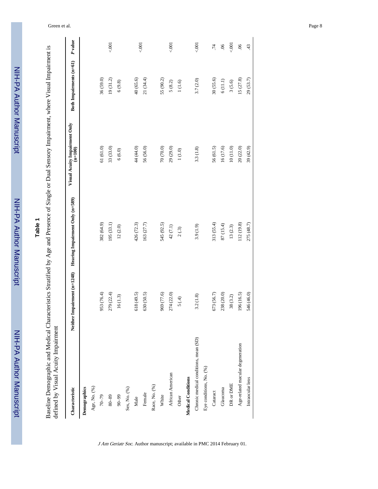| $\frac{1}{2}$ |
|---------------|
|               |
|               |
|               |
|               |
|               |
|               |
|               |
|               |
|               |
|               |
|               |
|               |
|               |
|               |
|               |
|               |
|               |
| i             |
|               |
|               |
|               |
|               |
|               |
|               |
|               |

## **Table 1**

Baseline Demographic and Medical Characteristics Stratified by Age and Presence of Single or Dual Sensory Impairment, where Visual Impairment is<br>defined by Visual Acuity Impairment Baseline Demographic and Medical Characteristics Stratified by Age and Presence of Single or Dual Sensory Impairment, where Visual Impairment is defined by Visual Acuity Impairment

| Characteristic                        | Neither Impairment (n=1248) | Hearing Impairment Only (n=589) | Visual Acuity Impairment Only<br>$(n=100)$ | Both Impairments (n=61) | P value         |
|---------------------------------------|-----------------------------|---------------------------------|--------------------------------------------|-------------------------|-----------------|
| Demographics                          |                             |                                 |                                            |                         |                 |
| Age, No. (%)                          |                             |                                 |                                            |                         |                 |
| $70 - 79$                             | 953 (76.4)                  | 382 (64.9)                      | 61(61.0)                                   | 36(59.0)                |                 |
| $80 - 89$                             | 279 (22.4)                  | 195 (33.1)                      | 33 (33.0)                                  | 19(31.2)                | 5001            |
| $66 - 06$                             | 16(1.3)                     | 12(2.0)                         | 6(6.0)                                     | $6\, (9.8)$             |                 |
| Sex, No. (%)                          |                             |                                 |                                            |                         |                 |
| Male                                  | 618 (49.5)                  | 426 (72.3)                      | 44 (44.0)                                  | 40(65.6)                |                 |
| Female                                | 630 (50.5)                  | 163 (27.7)                      | 56 (56.0)                                  | 21 (34.4)               | 001             |
| Race, No. (%)                         |                             |                                 |                                            |                         |                 |
| White                                 | 969 (77.6)                  | 545 (92.5)                      | 70 (70.0)                                  | 55 (90.2)               |                 |
| African American                      | 274 (22.0)                  | 42(7.1)                         | 29(29.0)                                   | $5\ (8.2)$              | 5001            |
| Other                                 | 5(4)                        | 2(0.3)                          | $1(1.0)$                                   | $1\ (1.6)$              |                 |
| <b>Medical Conditions</b>             |                             |                                 |                                            |                         |                 |
| Chronic medical conditions, mean (SD) | 3.2(1.8)                    | 3.9(1.9)                        | 3.3(1.8)                                   | 3.7 (2.0)               | 001             |
| Eye conditions, No. (%)               |                             |                                 |                                            |                         |                 |
| Cataract                              | 673 (56.7)                  | 313 (55.4)                      | 56 (61.5)                                  | 30 (55.6)               | .74             |
| Glaucoma                              | 238 (20.0)                  | 87 (15.4)                       | 16 (17.6)                                  | $6(11.1)$               | $\overline{90}$ |
| DR or DME                             | 38(3.2)                     | 13(2.3)                         | 10(11.0)                                   | 3(5.6)                  | 5001            |
| Age-related macular degeneration      | 196 (16.5)                  | 112 (19.8)                      | 20 (22.0)                                  | 15(27.8)                | 06              |
| Intraocular lens                      | 546 (46.0)                  | 275 (48.7)                      | 39 (42.9)                                  | 29 (53.7)               | 43              |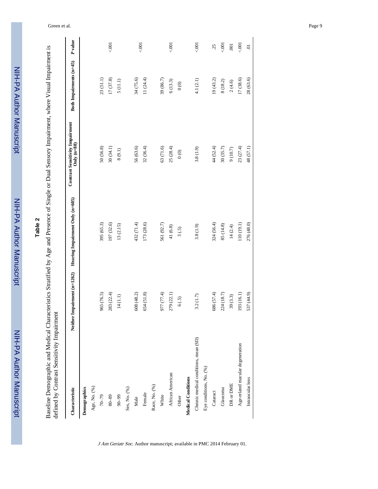| inin        |
|-------------|
|             |
|             |
|             |
|             |
|             |
|             |
|             |
|             |
|             |
|             |
|             |
|             |
|             |
|             |
|             |
|             |
|             |
|             |
|             |
| :<br>:<br>: |
|             |
|             |
|             |
|             |
|             |

# **Table 2**

Baseline Demographic and Medical Characteristics Stratified by Age and Presence of Single or Dual Sensory Impairment, where Visual Impairment is<br>defined by Contrast Sensitivity Impairment Baseline Demographic and Medical Characteristics Stratified by Age and Presence of Single or Dual Sensory Impairment, where Visual Impairment is defined by Contrast Sensitivity Impairment

| Characteristic                        | Neither Impairment (n=1262) | Hearing Impairment Only (n=605) | Contrast Sensitivity Impairment<br>Only $(n=88)$ | Both Impairments (n=45)                      | P value        |
|---------------------------------------|-----------------------------|---------------------------------|--------------------------------------------------|----------------------------------------------|----------------|
| Demographics                          |                             |                                 |                                                  |                                              |                |
| Age, No. (%)                          |                             |                                 |                                                  |                                              |                |
| $6L - 0L$                             | 965 (76.5)                  | 395 (65.3)                      | 50 (56.8)                                        | 23 (51.1)                                    |                |
| $80 - 89$                             | 283 (22.4)                  | 197 (32.6)                      | 30(34.1)                                         | 17(37.8)                                     | 5001           |
| $66 - 06$                             | 14(1.1)                     | 13(2.15)                        | 8(9.1)                                           | 5(11.1)                                      |                |
| Sex, No. (%)                          |                             |                                 |                                                  |                                              |                |
| Male                                  | 608 (48.2)                  | 432 (71.4)                      | 56 (63.6)                                        | 34 (75.6)                                    |                |
| Female                                | 654 (51.8)                  | 173 (28.6)                      | 32(36.4)                                         | 11 (24.4)                                    | 5001           |
| Race, No. (%)                         |                             |                                 |                                                  |                                              |                |
| White                                 | (4.77 77.4                  | 561 (92.7)                      | 63 (71.6)                                        | 39 (86.7)                                    |                |
| African American                      | 279 (22.1)                  | 41(6.8)                         | 25(28.4)                                         | 6(13.3)                                      | 5001           |
| Other                                 | 6(.5)                       | 3(.5)                           | $\circ$                                          | $\begin{matrix} 0 & 0 \\ 0 & 0 \end{matrix}$ |                |
| <b>Medical Conditions</b>             |                             |                                 |                                                  |                                              |                |
| Chronic medical conditions, mean (SD) | 3.2(1.7)                    | 3.8(1.9)                        | 3.8(1.9)                                         | 4.1(2.1)                                     | 5001           |
| Eye conditions, No. (%)               |                             |                                 |                                                  |                                              |                |
| Cataract                              | 686 (57.4)                  | 324 (56.4)                      | 44 (52.4)                                        | 19 (43.2)                                    | 25             |
| Glaucoma                              | 224 (18.7)                  | 85 (14.8)                       | 30(35.7)                                         | 8(18.2)                                      | 5001           |
| DR or DME                             | 39(3.3)                     | 14(2.4)                         | 9(10.7)                                          | 2(4.6)                                       | $\overline{0}$ |
| Age-related macular degeneration      | 193 (16.1)                  | 110 (19.1)                      | 23(27.4)                                         | 17 (38.6)                                    | 5001           |
| Intraocular lens                      | 537 (44.9)                  | 276 (48.0)                      | 48 (57.1)                                        | 28 (63.6)                                    | 5.             |